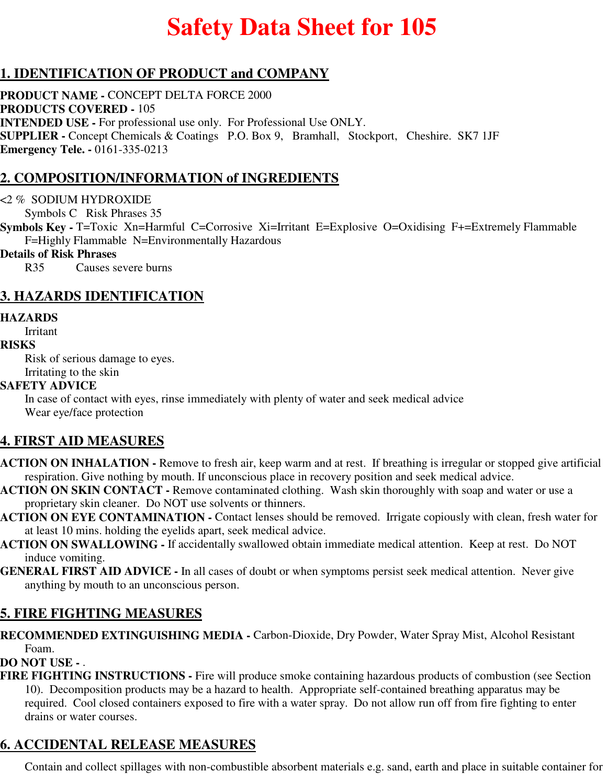# **Safety Data Sheet for 105**

## **1. IDENTIFICATION OF PRODUCT and COMPANY**

**PRODUCT NAME -** CONCEPT DELTA FORCE 2000 **PRODUCTS COVERED -** 105 **INTENDED USE -** For professional use only. For Professional Use ONLY. **SUPPLIER -** Concept Chemicals & Coatings P.O. Box 9, Bramhall, Stockport, Cheshire. SK7 1JF **Emergency Tele. -** 0161-335-0213

### **2. COMPOSITION/INFORMATION of INGREDIENTS**

#### <2 % SODIUM HYDROXIDE

Symbols C Risk Phrases 35

**Symbols Key -** T=Toxic Xn=Harmful C=Corrosive Xi=Irritant E=Explosive O=Oxidising F+=Extremely Flammable F=Highly Flammable N=Environmentally Hazardous

#### **Details of Risk Phrases**

R35 Causes severe burns

### **3. HAZARDS IDENTIFICATION**

#### **HAZARDS**

Irritant

#### **RISKS**

Risk of serious damage to eyes.

### Irritating to the skin

#### **SAFETY ADVICE**

In case of contact with eyes, rinse immediately with plenty of water and seek medical advice Wear eye/face protection

### **4. FIRST AID MEASURES**

- **ACTION ON INHALATION** Remove to fresh air, keep warm and at rest. If breathing is irregular or stopped give artificial respiration. Give nothing by mouth. If unconscious place in recovery position and seek medical advice.
- **ACTION ON SKIN CONTACT** Remove contaminated clothing. Wash skin thoroughly with soap and water or use a proprietary skin cleaner. Do NOT use solvents or thinners.
- **ACTION ON EYE CONTAMINATION** Contact lenses should be removed. Irrigate copiously with clean, fresh water for at least 10 mins. holding the eyelids apart, seek medical advice.
- **ACTION ON SWALLOWING** If accidentally swallowed obtain immediate medical attention. Keep at rest. Do NOT induce vomiting.
- **GENERAL FIRST AID ADVICE** In all cases of doubt or when symptoms persist seek medical attention. Never give anything by mouth to an unconscious person.

### **5. FIRE FIGHTING MEASURES**

**RECOMMENDED EXTINGUISHING MEDIA -** Carbon-Dioxide, Dry Powder, Water Spray Mist, Alcohol Resistant Foam.

### **DO NOT USE -** .

**FIRE FIGHTING INSTRUCTIONS -** Fire will produce smoke containing hazardous products of combustion (see Section 10). Decomposition products may be a hazard to health. Appropriate self-contained breathing apparatus may be required. Cool closed containers exposed to fire with a water spray. Do not allow run off from fire fighting to enter drains or water courses.

### **6. ACCIDENTAL RELEASE MEASURES**

Contain and collect spillages with non-combustible absorbent materials e.g. sand, earth and place in suitable container for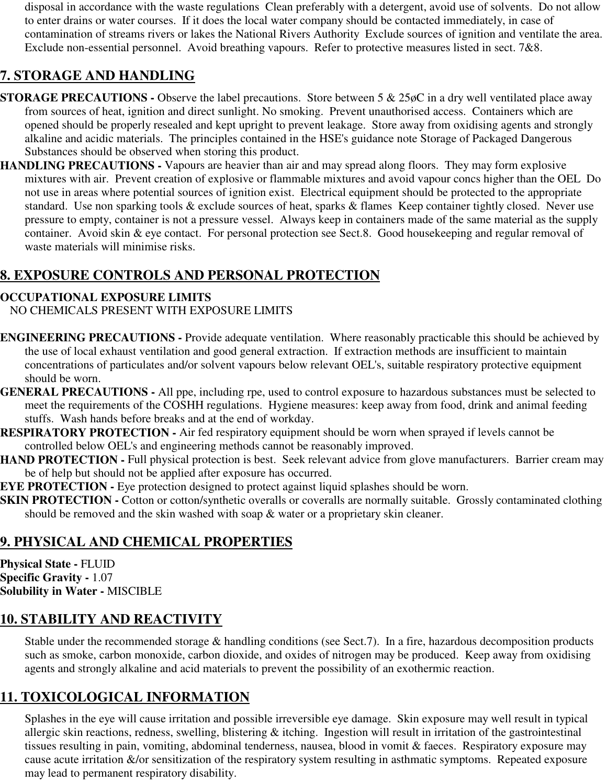disposal in accordance with the waste regulations Clean preferably with a detergent, avoid use of solvents. Do not allow to enter drains or water courses. If it does the local water company should be contacted immediately, in case of contamination of streams rivers or lakes the National Rivers Authority Exclude sources of ignition and ventilate the area. Exclude non-essential personnel. Avoid breathing vapours. Refer to protective measures listed in sect. 7&8.

# **7. STORAGE AND HANDLING**

- **STORAGE PRECAUTIONS -** Observe the label precautions. Store between 5 & 25 $\phi$ C in a dry well ventilated place away from sources of heat, ignition and direct sunlight. No smoking. Prevent unauthorised access. Containers which are opened should be properly resealed and kept upright to prevent leakage. Store away from oxidising agents and strongly alkaline and acidic materials. The principles contained in the HSE's guidance note Storage of Packaged Dangerous Substances should be observed when storing this product.
- **HANDLING PRECAUTIONS** Vapours are heavier than air and may spread along floors. They may form explosive mixtures with air. Prevent creation of explosive or flammable mixtures and avoid vapour concs higher than the OEL Do not use in areas where potential sources of ignition exist. Electrical equipment should be protected to the appropriate standard. Use non sparking tools & exclude sources of heat, sparks & flames Keep container tightly closed. Never use pressure to empty, container is not a pressure vessel. Always keep in containers made of the same material as the supply container. Avoid skin & eye contact. For personal protection see Sect.8. Good housekeeping and regular removal of waste materials will minimise risks.

# **8. EXPOSURE CONTROLS AND PERSONAL PROTECTION**

### **OCCUPATIONAL EXPOSURE LIMITS**

NO CHEMICALS PRESENT WITH EXPOSURE LIMITS

- **ENGINEERING PRECAUTIONS** Provide adequate ventilation. Where reasonably practicable this should be achieved by the use of local exhaust ventilation and good general extraction. If extraction methods are insufficient to maintain concentrations of particulates and/or solvent vapours below relevant OEL's, suitable respiratory protective equipment should be worn.
- **GENERAL PRECAUTIONS** All ppe, including rpe, used to control exposure to hazardous substances must be selected to meet the requirements of the COSHH regulations. Hygiene measures: keep away from food, drink and animal feeding stuffs. Wash hands before breaks and at the end of workday.
- **RESPIRATORY PROTECTION** Air fed respiratory equipment should be worn when sprayed if levels cannot be controlled below OEL's and engineering methods cannot be reasonably improved.
- **HAND PROTECTION Full physical protection is best. Seek relevant advice from glove manufacturers. Barrier cream may** be of help but should not be applied after exposure has occurred.
- **EYE PROTECTION -** Eye protection designed to protect against liquid splashes should be worn.
- **SKIN PROTECTION -** Cotton or cotton/synthetic overalls or coveralls are normally suitable. Grossly contaminated clothing should be removed and the skin washed with soap & water or a proprietary skin cleaner.

## **9. PHYSICAL AND CHEMICAL PROPERTIES**

**Physical State -** FLUID **Specific Gravity -** 1.07 **Solubility in Water -** MISCIBLE

# **10. STABILITY AND REACTIVITY**

Stable under the recommended storage & handling conditions (see Sect.7). In a fire, hazardous decomposition products such as smoke, carbon monoxide, carbon dioxide, and oxides of nitrogen may be produced. Keep away from oxidising agents and strongly alkaline and acid materials to prevent the possibility of an exothermic reaction.

## **11. TOXICOLOGICAL INFORMATION**

Splashes in the eye will cause irritation and possible irreversible eye damage. Skin exposure may well result in typical allergic skin reactions, redness, swelling, blistering & itching. Ingestion will result in irritation of the gastrointestinal tissues resulting in pain, vomiting, abdominal tenderness, nausea, blood in vomit & faeces. Respiratory exposure may cause acute irritation &/or sensitization of the respiratory system resulting in asthmatic symptoms. Repeated exposure may lead to permanent respiratory disability.